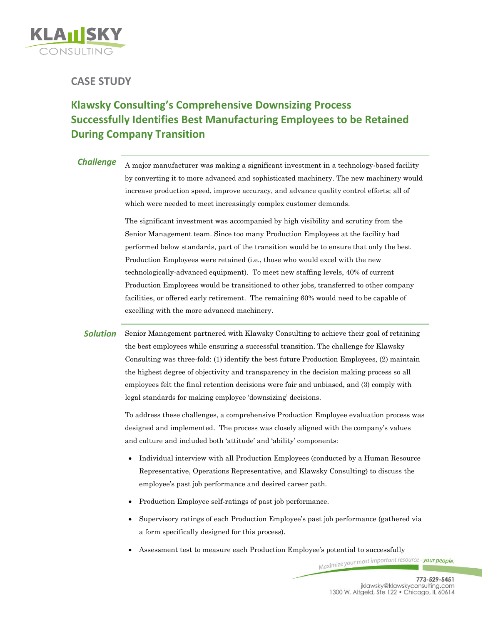

**CASE STUDY**

## **Klawsky Consulting's Comprehensive Downsizing Process Successfully Identifies Best Manufacturing Employees to be Retained During Company Transition**

**Challenge** A major manufacturer was making a significant investment in a technology-based facility by converting it to more advanced and sophisticated machinery. The new machinery would increase production speed, improve accuracy, and advance quality control efforts; all of which were needed to meet increasingly complex customer demands.

> The significant investment was accompanied by high visibility and scrutiny from the Senior Management team. Since too many Production Employees at the facility had performed below standards, part of the transition would be to ensure that only the best Production Employees were retained (i.e., those who would excel with the new technologically-advanced equipment). To meet new staffing levels, 40% of current Production Employees would be transitioned to other jobs, transferred to other company facilities, or offered early retirement. The remaining 60% would need to be capable of excelling with the more advanced machinery.

**Solution** Senior Management partnered with Klawsky Consulting to achieve their goal of retaining the best employees while ensuring a successful transition. The challenge for Klawsky Consulting was three-fold: (1) identify the best future Production Employees, (2) maintain the highest degree of objectivity and transparency in the decision making process so all employees felt the final retention decisions were fair and unbiased, and (3) comply with legal standards for making employee 'downsizing' decisions.

> To address these challenges, a comprehensive Production Employee evaluation process was designed and implemented. The process was closely aligned with the company's values and culture and included both 'attitude' and 'ability' components:

- Individual interview with all Production Employees (conducted by a Human Resource Representative, Operations Representative, and Klawsky Consulting) to discuss the employee's past job performance and desired career path.
- Production Employee self-ratings of past job performance.
- Supervisory ratings of each Production Employee's past job performance (gathered via a form specifically designed for this process).
- Assessment test to measure each Production Employee's potential to successfully<br>examine your most important resource your people.